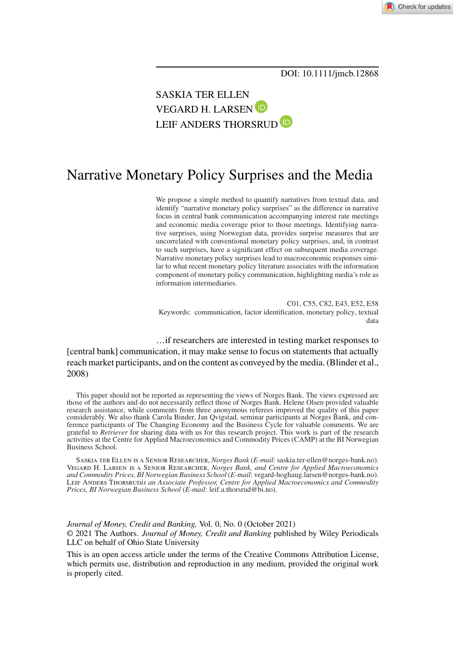Check for updates

## SASKIA TER ELLEN VEGARD H. LARSEN LEIF ANDERS THORSRUD<sup>(D</sup>

# Narrative Monetary Policy Surprises and the Media

We propose a simple method to quantify narratives from textual data, and identify "narrative monetary policy surprises" as the difference in narrative focus in central bank communication accompanying interest rate meetings and economic media coverage prior to those meetings. Identifying narrative surprises, using Norwegian data, provides surprise measures that are uncorrelated with conventional monetary policy surprises, and, in contrast to such surprises, have a significant effect on subsequent media coverage. Narrative monetary policy surprises lead to macroeconomic responses similar to what recent monetary policy literature associates with the information component of monetary policy communication, highlighting media's role as information intermediaries.

C01, C55, C82, E43, E52, E58 Keywords: communication, factor identification, monetary policy, textual data

…if researchers are interested in testing market responses to [central bank] communication, it may make sense to focus on statements that actually reach market participants, and on the content as conveyed by the media. (Blinder et al., 2008)

This paper should not be reported as representing the views of Norges Bank. The views expressed are those of the authors and do not necessarily reflect those of Norges Bank. Helene Olsen provided valuable research assistance, while comments from three anonymous referees improved the quality of this paper considerably. We also thank Carola Binder, Jan Qvigstad, seminar participants at Norges Bank, and con-ference participants of The Changing Economy and the Business Cycle for valuable comments. We are grateful to *Retriever* for sharing data with us for this research project. This work is part of the research activities at the Centre for Applied Macroeconomics and Commodity Prices (CAMP) at the BI Norwegian Business School.

Saskia ter Ellen is a Senior Researcher, *Norges Bank* (*E-mail*: saskia.ter-ellen@norges-bank.no). Vegard H. Larsen is a Senior Researcher, *Norges Bank, and Centre for Applied Macroeconomics and Commodity Prices, BI Norwegian Business School* (*E-mail*: vegard-hoghaug.larsen@norges-bank.no). Leif Anders Thorsrud*is an Associate Professor, Centre for Applied Macroeconomics and Commodity Prices, BI Norwegian Business School* (*E-mail*: leif.a.thorsrud@bi.no).

*Journal of Money, Credit and Banking,* Vol. 0, No. 0 (October 2021) © 2021 The Authors. *Journal of Money, Credit and Banking* published by Wiley Periodicals LLC on behalf of Ohio State University

This is an open access article under the terms of the [Creative Commons Attribution](http://creativecommons.org/licenses/by/4.0/) License, which permits use, distribution and reproduction in any medium, provided the original work is properly cited.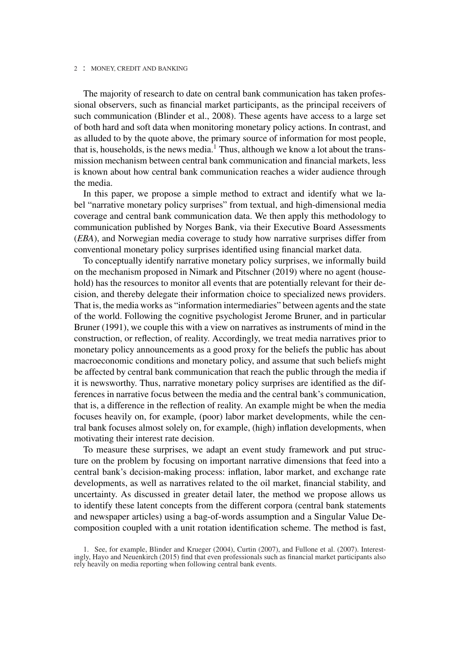The majority of research to date on central bank communication has taken professional observers, such as financial market participants, as the principal receivers of such communication (Blinder et al., 2008). These agents have access to a large set of both hard and soft data when monitoring monetary policy actions. In contrast, and as alluded to by the quote above, the primary source of information for most people, that is, households, is the news media.<sup>1</sup> Thus, although we know a lot about the transmission mechanism between central bank communication and financial markets, less is known about how central bank communication reaches a wider audience through the media.

In this paper, we propose a simple method to extract and identify what we label "narrative monetary policy surprises" from textual, and high-dimensional media coverage and central bank communication data. We then apply this methodology to communication published by Norges Bank, via their Executive Board Assessments (*EBA*), and Norwegian media coverage to study how narrative surprises differ from conventional monetary policy surprises identified using financial market data.

To conceptually identify narrative monetary policy surprises, we informally build on the mechanism proposed in Nimark and Pitschner (2019) where no agent (household) has the resources to monitor all events that are potentially relevant for their decision, and thereby delegate their information choice to specialized news providers. That is, the media works as "information intermediaries" between agents and the state of the world. Following the cognitive psychologist Jerome Bruner, and in particular Bruner (1991), we couple this with a view on narratives as instruments of mind in the construction, or reflection, of reality. Accordingly, we treat media narratives prior to monetary policy announcements as a good proxy for the beliefs the public has about macroeconomic conditions and monetary policy, and assume that such beliefs might be affected by central bank communication that reach the public through the media if it is newsworthy. Thus, narrative monetary policy surprises are identified as the differences in narrative focus between the media and the central bank's communication, that is, a difference in the reflection of reality. An example might be when the media focuses heavily on, for example, (poor) labor market developments, while the central bank focuses almost solely on, for example, (high) inflation developments, when motivating their interest rate decision.

To measure these surprises, we adapt an event study framework and put structure on the problem by focusing on important narrative dimensions that feed into a central bank's decision-making process: inflation, labor market, and exchange rate developments, as well as narratives related to the oil market, financial stability, and uncertainty. As discussed in greater detail later, the method we propose allows us to identify these latent concepts from the different corpora (central bank statements and newspaper articles) using a bag-of-words assumption and a Singular Value Decomposition coupled with a unit rotation identification scheme. The method is fast,

<sup>1.</sup> See, for example, Blinder and Krueger (2004), Curtin (2007), and Fullone et al. (2007). Interest-ingly, Hayo and Neuenkirch (2015) find that even professionals such as financial market participants also rely heavily on media reporting when following central bank events.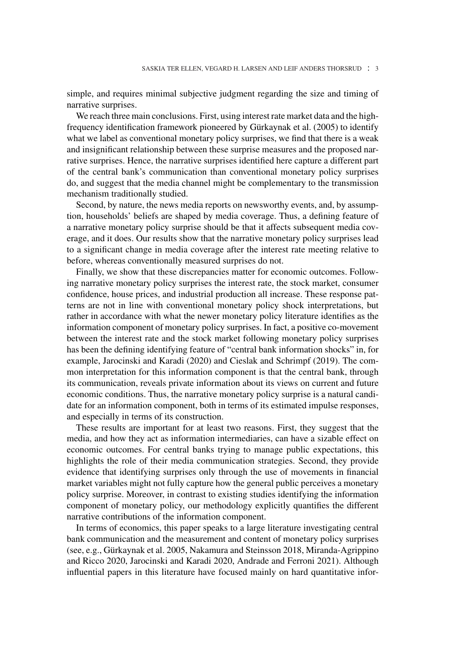simple, and requires minimal subjective judgment regarding the size and timing of narrative surprises.

We reach three main conclusions. First, using interest rate market data and the highfrequency identification framework pioneered by Gürkaynak et al. (2005) to identify what we label as conventional monetary policy surprises, we find that there is a weak and insignificant relationship between these surprise measures and the proposed narrative surprises. Hence, the narrative surprises identified here capture a different part of the central bank's communication than conventional monetary policy surprises do, and suggest that the media channel might be complementary to the transmission mechanism traditionally studied.

Second, by nature, the news media reports on newsworthy events, and, by assumption, households' beliefs are shaped by media coverage. Thus, a defining feature of a narrative monetary policy surprise should be that it affects subsequent media coverage, and it does. Our results show that the narrative monetary policy surprises lead to a significant change in media coverage after the interest rate meeting relative to before, whereas conventionally measured surprises do not.

Finally, we show that these discrepancies matter for economic outcomes. Following narrative monetary policy surprises the interest rate, the stock market, consumer confidence, house prices, and industrial production all increase. These response patterns are not in line with conventional monetary policy shock interpretations, but rather in accordance with what the newer monetary policy literature identifies as the information component of monetary policy surprises. In fact, a positive co-movement between the interest rate and the stock market following monetary policy surprises has been the defining identifying feature of "central bank information shocks" in, for example, Jarocinski and Karadi (2020) and Cieslak and Schrimpf (2019). The common interpretation for this information component is that the central bank, through its communication, reveals private information about its views on current and future economic conditions. Thus, the narrative monetary policy surprise is a natural candidate for an information component, both in terms of its estimated impulse responses, and especially in terms of its construction.

These results are important for at least two reasons. First, they suggest that the media, and how they act as information intermediaries, can have a sizable effect on economic outcomes. For central banks trying to manage public expectations, this highlights the role of their media communication strategies. Second, they provide evidence that identifying surprises only through the use of movements in financial market variables might not fully capture how the general public perceives a monetary policy surprise. Moreover, in contrast to existing studies identifying the information component of monetary policy, our methodology explicitly quantifies the different narrative contributions of the information component.

In terms of economics, this paper speaks to a large literature investigating central bank communication and the measurement and content of monetary policy surprises (see, e.g., Gürkaynak et al. 2005, Nakamura and Steinsson 2018, Miranda-Agrippino and Ricco 2020, Jarocinski and Karadi 2020, Andrade and Ferroni 2021). Although influential papers in this literature have focused mainly on hard quantitative infor-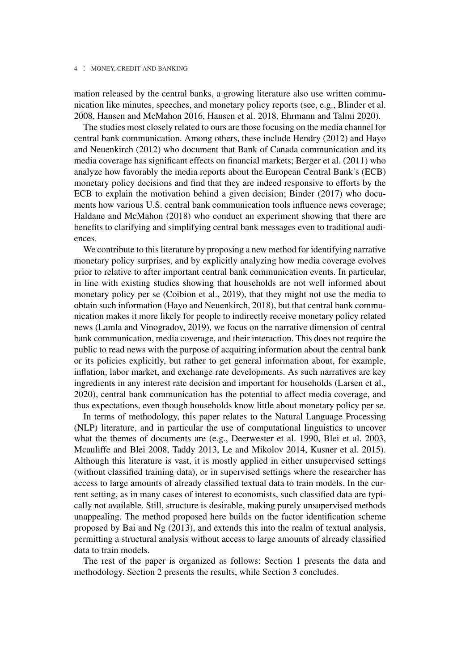mation released by the central banks, a growing literature also use written communication like minutes, speeches, and monetary policy reports (see, e.g., Blinder et al. 2008, Hansen and McMahon 2016, Hansen et al. 2018, Ehrmann and Talmi 2020).

The studies most closely related to ours are those focusing on the media channel for central bank communication. Among others, these include Hendry (2012) and Hayo and Neuenkirch (2012) who document that Bank of Canada communication and its media coverage has significant effects on financial markets; Berger et al. (2011) who analyze how favorably the media reports about the European Central Bank's (ECB) monetary policy decisions and find that they are indeed responsive to efforts by the ECB to explain the motivation behind a given decision; Binder (2017) who documents how various U.S. central bank communication tools influence news coverage; Haldane and McMahon (2018) who conduct an experiment showing that there are benefits to clarifying and simplifying central bank messages even to traditional audiences.

We contribute to this literature by proposing a new method for identifying narrative monetary policy surprises, and by explicitly analyzing how media coverage evolves prior to relative to after important central bank communication events. In particular, in line with existing studies showing that households are not well informed about monetary policy per se (Coibion et al., 2019), that they might not use the media to obtain such information (Hayo and Neuenkirch, 2018), but that central bank communication makes it more likely for people to indirectly receive monetary policy related news (Lamla and Vinogradov, 2019), we focus on the narrative dimension of central bank communication, media coverage, and their interaction. This does not require the public to read news with the purpose of acquiring information about the central bank or its policies explicitly, but rather to get general information about, for example, inflation, labor market, and exchange rate developments. As such narratives are key ingredients in any interest rate decision and important for households (Larsen et al., 2020), central bank communication has the potential to affect media coverage, and thus expectations, even though households know little about monetary policy per se.

In terms of methodology, this paper relates to the Natural Language Processing (NLP) literature, and in particular the use of computational linguistics to uncover what the themes of documents are (e.g., Deerwester et al. 1990, Blei et al. 2003, Mcauliffe and Blei 2008, Taddy 2013, Le and Mikolov 2014, Kusner et al. 2015). Although this literature is vast, it is mostly applied in either unsupervised settings (without classified training data), or in supervised settings where the researcher has access to large amounts of already classified textual data to train models. In the current setting, as in many cases of interest to economists, such classified data are typically not available. Still, structure is desirable, making purely unsupervised methods unappealing. The method proposed here builds on the factor identification scheme proposed by Bai and Ng (2013), and extends this into the realm of textual analysis, permitting a structural analysis without access to large amounts of already classified data to train models.

The rest of the paper is organized as follows: Section 1 presents the data and methodology. Section 2 presents the results, while Section 3 concludes.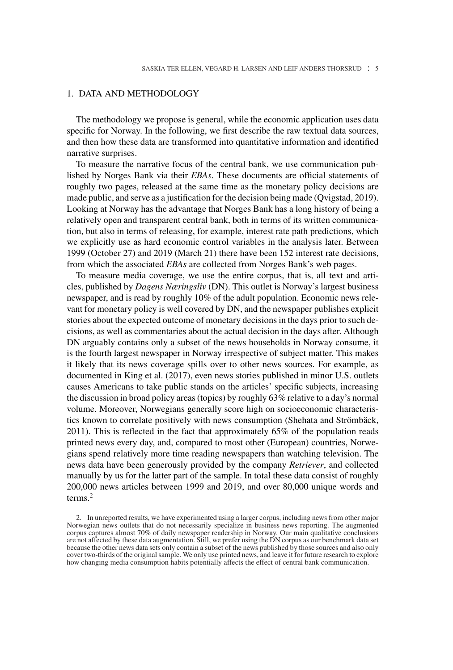## 1. DATA AND METHODOLOGY

The methodology we propose is general, while the economic application uses data specific for Norway. In the following, we first describe the raw textual data sources, and then how these data are transformed into quantitative information and identified narrative surprises.

To measure the narrative focus of the central bank, we use communication published by Norges Bank via their *EBAs*. These documents are official statements of roughly two pages, released at the same time as the monetary policy decisions are made public, and serve as a justification for the decision being made (Qvigstad, 2019). Looking at Norway has the advantage that Norges Bank has a long history of being a relatively open and transparent central bank, both in terms of its written communication, but also in terms of releasing, for example, interest rate path predictions, which we explicitly use as hard economic control variables in the analysis later. Between 1999 (October 27) and 2019 (March 21) there have been 152 interest rate decisions, from which the associated *EBAs* are collected from Norges Bank's web pages.

To measure media coverage, we use the entire corpus, that is, all text and articles, published by *Dagens Næringsliv* (DN). This outlet is Norway's largest business newspaper, and is read by roughly 10% of the adult population. Economic news relevant for monetary policy is well covered by DN, and the newspaper publishes explicit stories about the expected outcome of monetary decisions in the days prior to such decisions, as well as commentaries about the actual decision in the days after. Although DN arguably contains only a subset of the news households in Norway consume, it is the fourth largest newspaper in Norway irrespective of subject matter. This makes it likely that its news coverage spills over to other news sources. For example, as documented in King et al. (2017), even news stories published in minor U.S. outlets causes Americans to take public stands on the articles' specific subjects, increasing the discussion in broad policy areas (topics) by roughly 63% relative to a day's normal volume. Moreover, Norwegians generally score high on socioeconomic characteristics known to correlate positively with news consumption (Shehata and Strömbäck, 2011). This is reflected in the fact that approximately 65% of the population reads printed news every day, and, compared to most other (European) countries, Norwegians spend relatively more time reading newspapers than watching television. The news data have been generously provided by the company *Retriever*, and collected manually by us for the latter part of the sample. In total these data consist of roughly 200,000 news articles between 1999 and 2019, and over 80,000 unique words and terms.<sup>2</sup>

2. In unreported results, we have experimented using a larger corpus, including news from other major Norwegian news outlets that do not necessarily specialize in business news reporting. The augmented corpus captures almost 70% of daily newspaper readership in Norway. Our main qualitative conclusions are not affected by these data augmentation. Still, we prefer using the DN corpus as our benchmark data set because the other news data sets only contain a subset of the news published by those sources and also only cover two-thirds of the original sample. We only use printed news, and leave it for future research to explore how changing media consumption habits potentially affects the effect of central bank communication.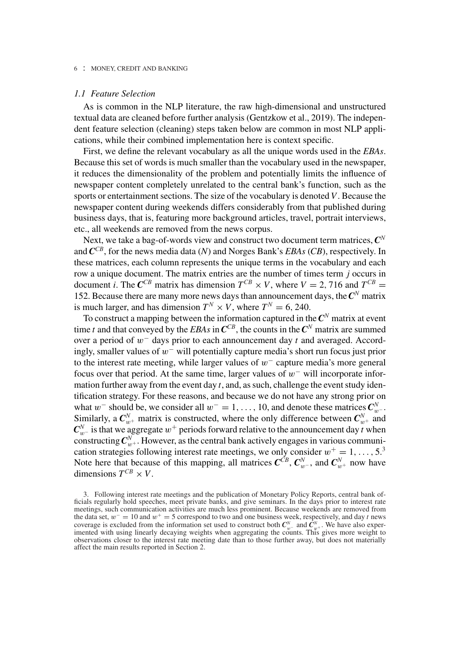## *1.1 Feature Selection*

As is common in the NLP literature, the raw high-dimensional and unstructured textual data are cleaned before further analysis (Gentzkow et al., 2019). The independent feature selection (cleaning) steps taken below are common in most NLP applications, while their combined implementation here is context specific.

First, we define the relevant vocabulary as all the unique words used in the *EBAs*. Because this set of words is much smaller than the vocabulary used in the newspaper, it reduces the dimensionality of the problem and potentially limits the influence of newspaper content completely unrelated to the central bank's function, such as the sports or entertainment sections. The size of the vocabulary is denoted*V*. Because the newspaper content during weekends differs considerably from that published during business days, that is, featuring more background articles, travel, portrait interviews, etc., all weekends are removed from the news corpus.

Next, we take a bag-of-words view and construct two document term matrices, *C<sup>N</sup>* and *CCB*, for the news media data (*N*) and Norges Bank's *EBAs* (*CB*), respectively. In these matrices, each column represents the unique terms in the vocabulary and each row a unique document. The matrix entries are the number of times term *j* occurs in document *i*. The  $\mathbb{C}^{CB}$  matrix has dimension  $T^{CB} \times V$ , where  $V = 2,716$  and  $T^{CB} =$ 152. Because there are many more news days than announcement days, the  $\mathbb{C}^N$  matrix is much larger, and has dimension  $T^N \times V$ , where  $T^N = 6$ , 240.

To construct a mapping between the information captured in the*C<sup>N</sup>* matrix at event time *t* and that conveyed by the *EBAs* in  $C^{CB}$ , the counts in the  $C^N$  matrix are summed over a period of *w*<sup>−</sup> days prior to each announcement day *t* and averaged. Accordingly, smaller values of *w*<sup>−</sup> will potentially capture media's short run focus just prior to the interest rate meeting, while larger values of *w*<sup>−</sup> capture media's more general focus over that period. At the same time, larger values of *w*<sup>−</sup> will incorporate information further away from the event day *t*, and, as such, challenge the event study identification strategy. For these reasons, and because we do not have any strong prior on what *w*<sup>−</sup> should be, we consider all  $w^- = 1, \ldots, 10$ , and denote these matrices  $C_w^N$ . Similarly, a  $C_{w^+}^N$  matrix is constructed, where the only difference between  $C_{w^+}^N$  and  $C_{w^-}^N$  is that we aggregate  $w^+$  periods forward relative to the announcement day *t* when constructing  $C_{w^+}^N$ . However, as the central bank actively engages in various communication strategies following interest rate meetings, we only consider  $w^+ = 1, \ldots, 5^3$ Note here that because of this mapping, all matrices  $C^{CB}$ ,  $C_{w^-}^N$ , and  $C_{w^+}^N$  now have dimensions  $T^{CB} \times V$ .

<sup>3.</sup> Following interest rate meetings and the publication of Monetary Policy Reports, central bank officials regularly hold speeches, meet private banks, and give seminars. In the days prior to interest rate meetings, such communication activities are much less prominent. Because weekends are removed from the data set, *w*<sup>−</sup> = 10 and *w*<sup>+</sup> = 5 correspond to two and one business week, respectively, and day *t* news coverage is excluded from the information set used to construct both  $C_w^w$  and  $\hat{C}_{w+}^w$ . We have also experimented with using linearly decaying weights when aggregating the counts. This gives more weight to observations closer to the interest rate meeting date than to those further away, but does not materially affect the main results reported in Section 2.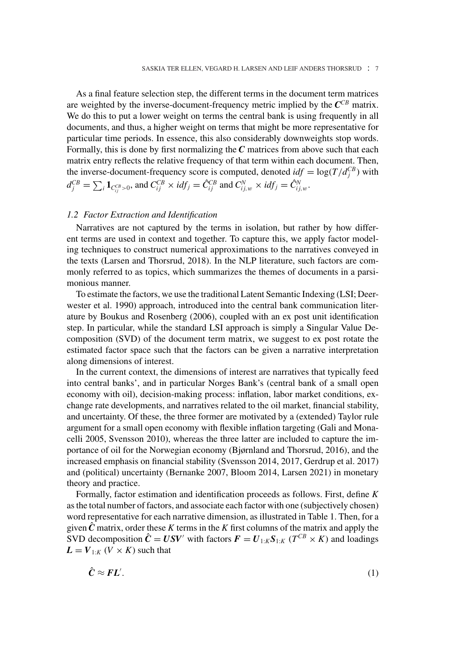As a final feature selection step, the different terms in the document term matrices are weighted by the inverse-document-frequency metric implied by the  $C^{CB}$  matrix. We do this to put a lower weight on terms the central bank is using frequently in all documents, and thus, a higher weight on terms that might be more representative for particular time periods. In essence, this also considerably downweights stop words. Formally, this is done by first normalizing the *C* matrices from above such that each matrix entry reflects the relative frequency of that term within each document. Then, the inverse-document-frequency score is computed, denoted  $idf = \log(T/d_f^{CB})$  with  $d_j^{CB} = \sum_i \mathbf{1}_{C_{ij}^{CB} > 0}$ , and  $C_{ij}^{CB} \times idf_j = \hat{C}_{ij}^{CB}$  and  $C_{ij,w}^N \times idf_j = \hat{C}_{ij,w}^N$ .

## *1.2 Factor Extraction and Identification*

Narratives are not captured by the terms in isolation, but rather by how different terms are used in context and together. To capture this, we apply factor modeling techniques to construct numerical approximations to the narratives conveyed in the texts (Larsen and Thorsrud, 2018). In the NLP literature, such factors are commonly referred to as topics, which summarizes the themes of documents in a parsimonious manner.

To estimate the factors, we use the traditional Latent Semantic Indexing (LSI; Deerwester et al. 1990) approach, introduced into the central bank communication literature by Boukus and Rosenberg (2006), coupled with an ex post unit identification step. In particular, while the standard LSI approach is simply a Singular Value Decomposition (SVD) of the document term matrix, we suggest to ex post rotate the estimated factor space such that the factors can be given a narrative interpretation along dimensions of interest.

In the current context, the dimensions of interest are narratives that typically feed into central banks', and in particular Norges Bank's (central bank of a small open economy with oil), decision-making process: inflation, labor market conditions, exchange rate developments, and narratives related to the oil market, financial stability, and uncertainty. Of these, the three former are motivated by a (extended) Taylor rule argument for a small open economy with flexible inflation targeting (Gali and Monacelli 2005, Svensson 2010), whereas the three latter are included to capture the importance of oil for the Norwegian economy (Bjørnland and Thorsrud, 2016), and the increased emphasis on financial stability (Svensson 2014, 2017, Gerdrup et al. 2017) and (political) uncertainty (Bernanke 2007, Bloom 2014, Larsen 2021) in monetary theory and practice.

Formally, factor estimation and identification proceeds as follows. First, define *K* as the total number of factors, and associate each factor with one (subjectively chosen) word representative for each narrative dimension, as illustrated in Table 1. Then, for a given  $\hat{C}$  matrix, order these *K* terms in the *K* first columns of the matrix and apply the SVD decomposition  $\hat{C} = USV'$  with factors  $F = U_{1:K}S_{1:K}$  ( $T^{CB} \times K$ ) and loadings  $L = V_{1:K}$  (*V* × *K*) such that

$$
\hat{C} \approx FL'. \tag{1}
$$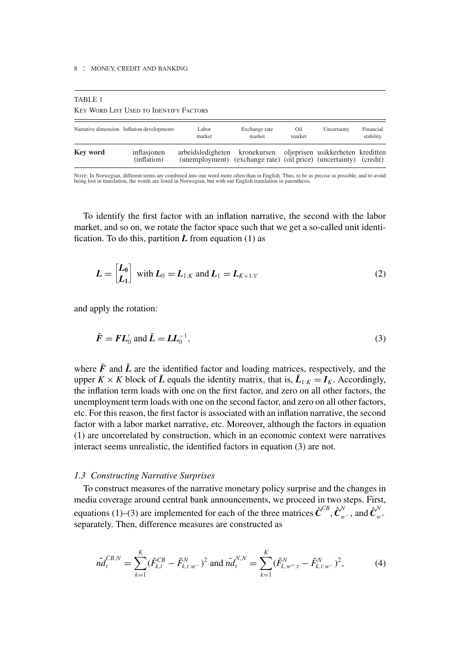$T_{\rm max}$ 

| TABLE I<br><b>KEY WORD LIST USED TO IDENTIFY FACTORS</b> |                                            |                                                                                                                                      |                         |               |             |                        |
|----------------------------------------------------------|--------------------------------------------|--------------------------------------------------------------------------------------------------------------------------------------|-------------------------|---------------|-------------|------------------------|
|                                                          | Narrative dimension Inflation developments | Labor<br>market                                                                                                                      | Exchange rate<br>market | Oil<br>market | Uncertainty | Financial<br>stability |
| Key word                                                 | inflasjonen<br>(inflation)                 | arbeidsledigheten kronekursen oljeprisen usikkerheten kreditten<br>(unemployment) (exchange rate) (oil price) (uncertainty) (credit) |                         |               |             |                        |

Nore: In Norwegian, different terms are combined into one word more often than in English. Thus, to be as precise as possible, and to avoid<br>being lost in translation, the words are listed in Norwegian, but with our English

To identify the first factor with an inflation narrative, the second with the labor market, and so on, we rotate the factor space such that we get a so-called unit identification. To do this, partition  $L$  from equation  $(1)$  as

$$
L = \begin{bmatrix} L_0 \\ L_1 \end{bmatrix} \text{ with } L_0 = L_{1:K} \text{ and } L_1 = L_{K+1:V} \tag{2}
$$

and apply the rotation:

$$
\tilde{F} = FL'_0 \text{ and } \tilde{L} = LL_0^{-1},\tag{3}
$$

where  $\tilde{F}$  and  $\tilde{L}$  are the identified factor and loading matrices, respectively, and the upper *K* × *K* block of  $\tilde{L}$  equals the identity matrix, that is,  $\tilde{L}_{1:K} = I_K$ . Accordingly, the inflation term loads with one on the first factor, and zero on all other factors, the unemployment term loads with one on the second factor, and zero on all other factors, etc. For this reason, the first factor is associated with an inflation narrative, the second factor with a labor market narrative, etc. Moreover, although the factors in equation (1) are uncorrelated by construction, which in an economic context were narratives interact seems unrealistic, the identified factors in equation (3) are not.

## *1.3 Constructing Narrative Surprises*

To construct measures of the narrative monetary policy surprise and the changes in media coverage around central bank announcements, we proceed in two steps. First, equations (1)–(3) are implemented for each of the three matrices  $\hat{\pmb{C}}^{CB}, \hat{\pmb{C}}^{N}_{w^-}$ , and  $\hat{\pmb{C}}^{N}_{w^+}$ separately. Then, difference measures are constructed as

$$
\tilde{n}d_t^{CB,N} = \sum_{k=1}^K (\tilde{F}_{k,t}^{CB} - \tilde{F}_{k,t:w^-}^N)^2 \text{ and } \tilde{n}d_t^{N,N} = \sum_{k=1}^K (\tilde{F}_{k,w^+t}^N - \tilde{F}_{k,t:w^-}^N)^2,
$$
 (4)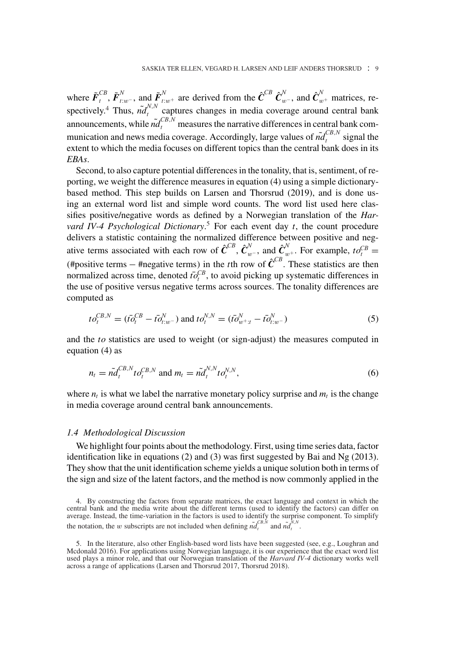where  $\tilde{F}_{t}^{CB}$ ,  $\tilde{F}_{t:w^-}^N$ , and  $\tilde{F}_{t:w^+}^N$  are derived from the  $\hat{C}^{CB}$   $\hat{C}_{w^-}^N$ , and  $\hat{C}_{w^+}^N$  matrices, respectively.<sup>4</sup> Thus,  $\tilde{n}d_t^{N,N}$  captures changes in media coverage around central bank announcements, while  $\tilde{n}d_t^{CB,N}$  measures the narrative differences in central bank communication and news media coverage. Accordingly, large values of  $\tilde{m}_t^{CB,N}$  signal the extent to which the media focuses on different topics than the central bank does in its *EBAs*.

Second, to also capture potential differences in the tonality, that is, sentiment, of reporting, we weight the difference measures in equation (4) using a simple dictionarybased method. This step builds on Larsen and Thorsrud (2019), and is done using an external word list and simple word counts. The word list used here classifies positive/negative words as defined by a Norwegian translation of the *Harvard IV-4 Psychological Dictionary*. <sup>5</sup> For each event day *t*, the count procedure delivers a statistic containing the normalized difference between positive and negative terms associated with each row of  $\hat{\mathbf{C}}^{CB}$ ,  $\hat{\mathbf{C}}^{W}_{w}$ , and  $\hat{\mathbf{C}}^{W}_{w}$ . For example,  $to^{CB}_{t}$ (#positive terms – #negative terms) in the *t*th row of  $\hat{C}^{CB}$ . These statistics are then normalized across time, denoted  $t\bar{o}^{CB}_{t}$ , to avoid picking up systematic differences in the use of positive versus negative terms across sources. The tonality differences are computed as

$$
to_t^{CB,N} = (t\bar{o}_t^{CB} - t\bar{o}_{t:w^-}^N) \text{ and } to_t^{N,N} = (t\bar{o}_{w^+t}^N - t\bar{o}_{t:w^-}^N)
$$
 (5)

and the *to* statistics are used to weight (or sign-adjust) the measures computed in equation (4) as

$$
n_t = \tilde{n}d_t^{CB,N}t o_t^{CB,N} \text{ and } m_t = \tilde{n}d_t^{N,N}t o_t^{N,N}, \qquad (6)
$$

where  $n_t$  is what we label the narrative monetary policy surprise and  $m_t$  is the change in media coverage around central bank announcements.

#### *1.4 Methodological Discussion*

We highlight four points about the methodology. First, using time series data, factor identification like in equations (2) and (3) was first suggested by Bai and Ng (2013). They show that the unit identification scheme yields a unique solution both in terms of the sign and size of the latent factors, and the method is now commonly applied in the

<sup>4.</sup> By constructing the factors from separate matrices, the exact language and context in which the central bank and the media write about the different terms (used to identify the factors) can differ on average. Instead, the time-variation in the factors is used to identify the surprise component. To simplify the notation, the *w* subscripts are not included when defining  $\tilde{n}d_t^{CB,N}$  and  $\tilde{n}d_t^{N,N}$ .

<sup>5.</sup> In the literature, also other English-based word lists have been suggested (see, e.g., Loughran and Mcdonald 2016). For applications using Norwegian language, it is our experience that the exact word list used plays a minor role, and that our Norwegian translation of the *Harvard IV-4* dictionary works well across a range of applications (Larsen and Thorsrud 2017, Thorsrud 2018).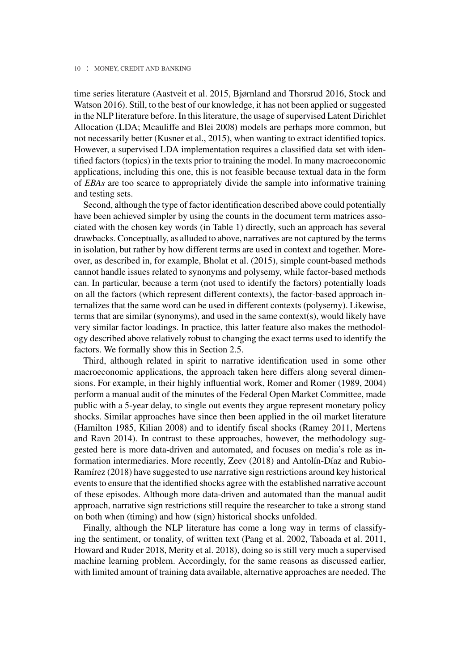time series literature (Aastveit et al. 2015, Bjørnland and Thorsrud 2016, Stock and Watson 2016). Still, to the best of our knowledge, it has not been applied or suggested in the NLP literature before. In this literature, the usage of supervised Latent Dirichlet Allocation (LDA; Mcauliffe and Blei 2008) models are perhaps more common, but not necessarily better (Kusner et al., 2015), when wanting to extract identified topics. However, a supervised LDA implementation requires a classified data set with identified factors (topics) in the texts prior to training the model. In many macroeconomic applications, including this one, this is not feasible because textual data in the form of *EBAs* are too scarce to appropriately divide the sample into informative training and testing sets.

Second, although the type of factor identification described above could potentially have been achieved simpler by using the counts in the document term matrices associated with the chosen key words (in Table 1) directly, such an approach has several drawbacks. Conceptually, as alluded to above, narratives are not captured by the terms in isolation, but rather by how different terms are used in context and together. Moreover, as described in, for example, Bholat et al. (2015), simple count-based methods cannot handle issues related to synonyms and polysemy, while factor-based methods can. In particular, because a term (not used to identify the factors) potentially loads on all the factors (which represent different contexts), the factor-based approach internalizes that the same word can be used in different contexts (polysemy). Likewise, terms that are similar (synonyms), and used in the same context(s), would likely have very similar factor loadings. In practice, this latter feature also makes the methodology described above relatively robust to changing the exact terms used to identify the factors. We formally show this in Section 2.5.

Third, although related in spirit to narrative identification used in some other macroeconomic applications, the approach taken here differs along several dimensions. For example, in their highly influential work, Romer and Romer (1989, 2004) perform a manual audit of the minutes of the Federal Open Market Committee, made public with a 5-year delay, to single out events they argue represent monetary policy shocks. Similar approaches have since then been applied in the oil market literature (Hamilton 1985, Kilian 2008) and to identify fiscal shocks (Ramey 2011, Mertens and Ravn 2014). In contrast to these approaches, however, the methodology suggested here is more data-driven and automated, and focuses on media's role as information intermediaries. More recently, Zeev (2018) and Antolín-Díaz and Rubio-Ramírez (2018) have suggested to use narrative sign restrictions around key historical events to ensure that the identified shocks agree with the established narrative account of these episodes. Although more data-driven and automated than the manual audit approach, narrative sign restrictions still require the researcher to take a strong stand on both when (timing) and how (sign) historical shocks unfolded.

Finally, although the NLP literature has come a long way in terms of classifying the sentiment, or tonality, of written text (Pang et al. 2002, Taboada et al. 2011, Howard and Ruder 2018, Merity et al. 2018), doing so is still very much a supervised machine learning problem. Accordingly, for the same reasons as discussed earlier, with limited amount of training data available, alternative approaches are needed. The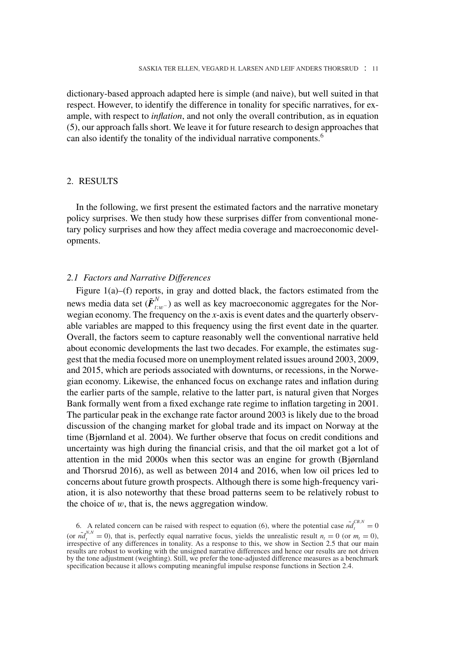dictionary-based approach adapted here is simple (and naive), but well suited in that respect. However, to identify the difference in tonality for specific narratives, for example, with respect to *inflation*, and not only the overall contribution, as in equation (5), our approach falls short. We leave it for future research to design approaches that can also identify the tonality of the individual narrative components.<sup>6</sup>

## 2. RESULTS

In the following, we first present the estimated factors and the narrative monetary policy surprises. We then study how these surprises differ from conventional monetary policy surprises and how they affect media coverage and macroeconomic developments.

## *2.1 Factors and Narrative Differences*

Figure 1(a)–(f) reports, in gray and dotted black, the factors estimated from the news media data set ( $\tilde{\bm{F}}_{t:w^-}^N$ ) as well as key macroeconomic aggregates for the Norwegian economy. The frequency on the *x*-axis is event dates and the quarterly observable variables are mapped to this frequency using the first event date in the quarter. Overall, the factors seem to capture reasonably well the conventional narrative held about economic developments the last two decades. For example, the estimates suggest that the media focused more on unemployment related issues around 2003, 2009, and 2015, which are periods associated with downturns, or recessions, in the Norwegian economy. Likewise, the enhanced focus on exchange rates and inflation during the earlier parts of the sample, relative to the latter part, is natural given that Norges Bank formally went from a fixed exchange rate regime to inflation targeting in 2001. The particular peak in the exchange rate factor around 2003 is likely due to the broad discussion of the changing market for global trade and its impact on Norway at the time (Bjørnland et al. 2004). We further observe that focus on credit conditions and uncertainty was high during the financial crisis, and that the oil market got a lot of attention in the mid 2000s when this sector was an engine for growth (Bjørnland and Thorsrud 2016), as well as between 2014 and 2016, when low oil prices led to concerns about future growth prospects. Although there is some high-frequency variation, it is also noteworthy that these broad patterns seem to be relatively robust to the choice of *w*, that is, the news aggregation window.

<sup>6.</sup> A related concern can be raised with respect to equation (6), where the potential case  $\tilde{nd}_t^{CB,N} = 0$ (or  $\tilde{n}d_i^{N,N} = 0$ ), that is, perfectly equal narrative focus, yields the unrealistic result  $n_i = 0$  (or  $m_i = 0$ ), irrespective of any differences in tonality. As a response to this, we show in Section 2.5 that our main results are robust to working with the unsigned narrative differences and hence our results are not driven by the tone adjustment (weighting). Still, we prefer the tone-adjusted difference measures as a benchmark specification because it allows computing meaningful impulse response functions in Section 2.4.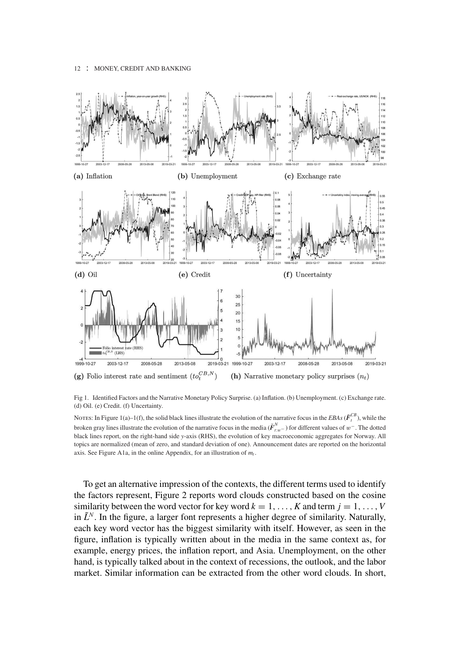

Fig 1. Identified Factors and the Narrative Monetary Policy Surprise. (a) Inflation. (b) Unemployment. (c) Exchange rate. (d) Oil. (e) Credit. (f) Uncertainty.

NOTES: In Figure 1(a)–1(f), the solid black lines illustrate the evolution of the narrative focus in the *EBAs* ( $\tilde{F}^{CB}_t$ ), while the broken gray lines illustrate the evolution of the narrative focus in the media ( $\tilde{F}^N_{tw}$ ) for different values of  $w^-$ . The dotted black lines report, on the right-hand side *y*-axis (RHS), the evolution of key macroeconomic aggregates for Norway. All topics are normalized (mean of zero, and standard deviation of one). Announcement dates are reported on the horizontal axis. See Figure A1a, in the online Appendix, for an illustration of  $m_t$ .

To get an alternative impression of the contexts, the different terms used to identify the factors represent, Figure 2 reports word clouds constructed based on the cosine similarity between the word vector for key word  $k = 1, \ldots, K$  and term  $j = 1, \ldots, V$ in  $\tilde{L}^N$ . In the figure, a larger font represents a higher degree of similarity. Naturally, each key word vector has the biggest similarity with itself. However, as seen in the figure, inflation is typically written about in the media in the same context as, for example, energy prices, the inflation report, and Asia. Unemployment, on the other hand, is typically talked about in the context of recessions, the outlook, and the labor market. Similar information can be extracted from the other word clouds. In short,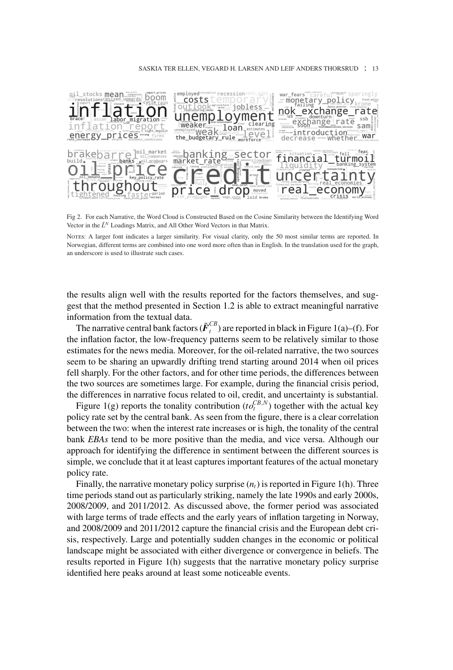#### SASKIA TER ELLEN, VEGARD H. LARSEN AND LEIF ANDERS THORSRUD : 13



Fig 2. For each Narrative, the Word Cloud is Constructed Based on the Cosine Similarity between the Identifying Word Vector in the  $\tilde{L}^N$  Loadings Matrix, and All Other Word Vectors in that Matrix.

Notes: A larger font indicates a larger similarity. For visual clarity, only the 50 most similar terms are reported. In Norwegian, different terms are combined into one word more often than in English. In the translation used for the graph, an underscore is used to illustrate such cases.

the results align well with the results reported for the factors themselves, and suggest that the method presented in Section 1.2 is able to extract meaningful narrative information from the textual data.

The narrative central bank factors  $(\tilde{\pmb{F}}_t^{CB})$  are reported in black in Figure 1(a)–(f). For the inflation factor, the low-frequency patterns seem to be relatively similar to those estimates for the news media. Moreover, for the oil-related narrative, the two sources seem to be sharing an upwardly drifting trend starting around 2014 when oil prices fell sharply. For the other factors, and for other time periods, the differences between the two sources are sometimes large. For example, during the financial crisis period, the differences in narrative focus related to oil, credit, and uncertainty is substantial.

Figure 1(g) reports the tonality contribution ( $to^{CB,N}_{t}$ ) together with the actual key policy rate set by the central bank. As seen from the figure, there is a clear correlation between the two: when the interest rate increases or is high, the tonality of the central bank *EBAs* tend to be more positive than the media, and vice versa. Although our approach for identifying the difference in sentiment between the different sources is simple, we conclude that it at least captures important features of the actual monetary policy rate.

Finally, the narrative monetary policy surprise  $(n_t)$  is reported in Figure 1(h). Three time periods stand out as particularly striking, namely the late 1990s and early 2000s, 2008/2009, and 2011/2012. As discussed above, the former period was associated with large terms of trade effects and the early years of inflation targeting in Norway, and 2008/2009 and 2011/2012 capture the financial crisis and the European debt crisis, respectively. Large and potentially sudden changes in the economic or political landscape might be associated with either divergence or convergence in beliefs. The results reported in Figure 1(h) suggests that the narrative monetary policy surprise identified here peaks around at least some noticeable events.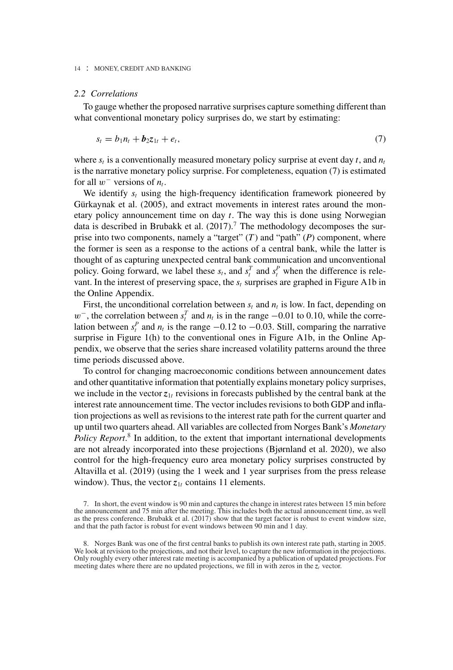## *2.2 Correlations*

To gauge whether the proposed narrative surprises capture something different than what conventional monetary policy surprises do, we start by estimating:

$$
s_t = b_1 n_t + b_2 z_{1t} + e_t, \tag{7}
$$

where  $s_t$  is a conventionally measured monetary policy surprise at event day  $t$ , and  $n_t$ is the narrative monetary policy surprise. For completeness, equation (7) is estimated for all  $w^-$  versions of  $n_t$ .

We identify *st* using the high-frequency identification framework pioneered by Gürkaynak et al. (2005), and extract movements in interest rates around the monetary policy announcement time on day *t*. The way this is done using Norwegian data is described in Brubakk et al.  $(2017)$ .<sup>7</sup> The methodology decomposes the surprise into two components, namely a "target" (*T*) and "path" (*P*) component, where the former is seen as a response to the actions of a central bank, while the latter is thought of as capturing unexpected central bank communication and unconventional policy. Going forward, we label these  $s_t$ , and  $s_t^T$  and  $s_t^P$  when the difference is relevant. In the interest of preserving space, the  $s_t$  surprises are graphed in Figure A1b in the Online Appendix.

First, the unconditional correlation between  $s_t$  and  $n_t$  is low. In fact, depending on  $w^-$ , the correlation between  $s_t^T$  and  $n_t$  is in the range  $-0.01$  to 0.10, while the correlation between  $s_t^P$  and  $n_t$  is the range  $-0.12$  to  $-0.03$ . Still, comparing the narrative surprise in Figure 1(h) to the conventional ones in Figure A1b, in the Online Appendix, we observe that the series share increased volatility patterns around the three time periods discussed above.

To control for changing macroeconomic conditions between announcement dates and other quantitative information that potentially explains monetary policy surprises, we include in the vector  $z_{1t}$  revisions in forecasts published by the central bank at the interest rate announcement time. The vector includes revisions to both GDP and inflation projections as well as revisions to the interest rate path for the current quarter and up until two quarters ahead. All variables are collected from Norges Bank's *Monetary Policy Report*. <sup>8</sup> In addition, to the extent that important international developments are not already incorporated into these projections (Bjørnland et al. 2020), we also control for the high-frequency euro area monetary policy surprises constructed by Altavilla et al. (2019) (using the 1 week and 1 year surprises from the press release window). Thus, the vector  $z_{1t}$  contains 11 elements.

<sup>7.</sup> In short, the event window is 90 min and captures the change in interest rates between 15 min before the announcement and 75 min after the meeting. This includes both the actual announcement time, as well as the press conference. Brubakk et al. (2017) show that the target factor is robust to event window size, and that the path factor is robust for event windows between 90 min and 1 day.

<sup>8.</sup> Norges Bank was one of the first central banks to publish its own interest rate path, starting in 2005. We look at revision to the projections, and not their level, to capture the new information in the projections. Only roughly every other interest rate meeting is accompanied by a publication of updated projections. For meeting dates where there are no updated projections, we fill in with zeros in the  $z<sub>t</sub><sup>t</sup>$  vector.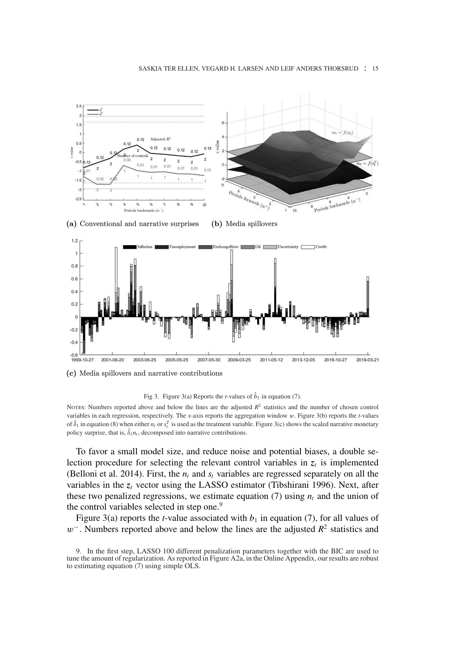#### SASKIA TER ELLEN, VEGARD H. LARSEN AND LEIF ANDERS THORSRUD : 15



(c) Media spillovers and narrative contributions



NOTES: Numbers reported above and below the lines are the adjusted  $R^2$  statistics and the number of chosen control variables in each regression, respectively. The *x*-axis reports the aggregation window *w*. Figure 3(b) reports the *t*-values of  $\hat{\delta}_1$  in equation (8) when either  $n_t$  or  $s_t^T$  is used as the treatment variable. Figure 3(c) shows the scaled narrative monetary policy surprise, that is,  $\delta_1 n_t$ , decomposed into narrative contributions.

To favor a small model size, and reduce noise and potential biases, a double selection procedure for selecting the relevant control variables in  $z_t$  is implemented (Belloni et al. 2014). First, the  $n_t$  and  $s_t$  variables are regressed separately on all the variables in the *z<sup>t</sup>* vector using the LASSO estimator (Tibshirani 1996). Next, after these two penalized regressions, we estimate equation (7) using  $n_t$  and the union of the control variables selected in step one.<sup>9</sup>

Figure 3(a) reports the *t*-value associated with  $b_1$  in equation (7), for all values of *w*<sup>−</sup>. Numbers reported above and below the lines are the adjusted  $R^2$  statistics and

<sup>9.</sup> In the first step, LASSO 100 different penalization parameters together with the BIC are used to tune the amount of regularization. As reported in Figure A2a, in the Online Appendix, our results are robust to estimating equation (7) using simple OLS.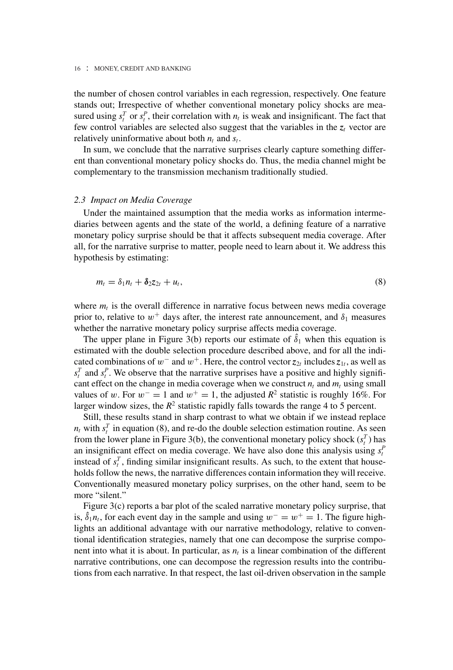the number of chosen control variables in each regression, respectively. One feature stands out; Irrespective of whether conventional monetary policy shocks are measured using  $s_t^T$  or  $s_t^P$ , their correlation with  $n_t$  is weak and insignificant. The fact that few control variables are selected also suggest that the variables in the  $z_t$  vector are relatively uninformative about both  $n_t$  and  $s_t$ .

In sum, we conclude that the narrative surprises clearly capture something different than conventional monetary policy shocks do. Thus, the media channel might be complementary to the transmission mechanism traditionally studied.

## *2.3 Impact on Media Coverage*

Under the maintained assumption that the media works as information intermediaries between agents and the state of the world, a defining feature of a narrative monetary policy surprise should be that it affects subsequent media coverage. After all, for the narrative surprise to matter, people need to learn about it. We address this hypothesis by estimating:

$$
m_t = \delta_1 n_t + \delta_2 z_{2t} + u_t, \qquad (8)
$$

where  $m_t$  is the overall difference in narrative focus between news media coverage prior to, relative to  $w^+$  days after, the interest rate announcement, and  $\delta_1$  measures whether the narrative monetary policy surprise affects media coverage.

The upper plane in Figure 3(b) reports our estimate of  $\hat{\delta}_1$  when this equation is estimated with the double selection procedure described above, and for all the indicated combinations of  $w^-$  and  $w^+$ . Here, the control vector  $z_{2t}$  includes  $z_{1t}$ , as well as  $s_t^T$  and  $s_t^P$ . We observe that the narrative surprises have a positive and highly significant effect on the change in media coverage when we construct  $n_t$  and  $m_t$  using small values of *w*. For  $w^- = 1$  and  $w^+ = 1$ , the adjusted  $R^2$  statistic is roughly 16%. For larger window sizes, the  $R^2$  statistic rapidly falls towards the range 4 to 5 percent.

Still, these results stand in sharp contrast to what we obtain if we instead replace  $n_t$  with  $s_t^T$  in equation (8), and re-do the double selection estimation routine. As seen from the lower plane in Figure 3(b), the conventional monetary policy shock  $(s_t^T)$  has an insignificant effect on media coverage. We have also done this analysis using  $s_t^P$ instead of  $s_t^T$ , finding similar insignificant results. As such, to the extent that households follow the news, the narrative differences contain information they will receive. Conventionally measured monetary policy surprises, on the other hand, seem to be more "silent."

Figure 3(c) reports a bar plot of the scaled narrative monetary policy surprise, that is,  $\hat{\delta}_1 n_t$ , for each event day in the sample and using  $w^- = w^+ = 1$ . The figure highlights an additional advantage with our narrative methodology, relative to conventional identification strategies, namely that one can decompose the surprise component into what it is about. In particular, as  $n_t$  is a linear combination of the different narrative contributions, one can decompose the regression results into the contributions from each narrative. In that respect, the last oil-driven observation in the sample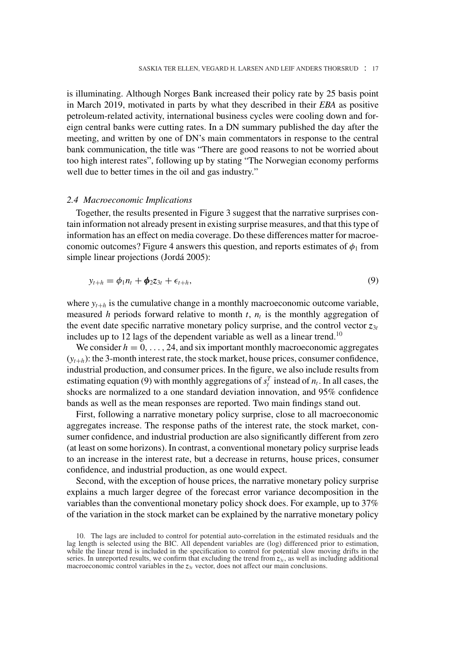is illuminating. Although Norges Bank increased their policy rate by 25 basis point in March 2019, motivated in parts by what they described in their *EBA* as positive petroleum-related activity, international business cycles were cooling down and foreign central banks were cutting rates. In a DN summary published the day after the meeting, and written by one of DN's main commentators in response to the central bank communication, the title was "There are good reasons to not be worried about too high interest rates", following up by stating "The Norwegian economy performs well due to better times in the oil and gas industry."

#### *2.4 Macroeconomic Implications*

Together, the results presented in Figure 3 suggest that the narrative surprises contain information not already present in existing surprise measures, and that this type of information has an effect on media coverage. Do these differences matter for macroeconomic outcomes? Figure 4 answers this question, and reports estimates of  $\phi_1$  from simple linear projections (Jordá 2005):

$$
y_{t+h} = \phi_1 n_t + \phi_2 z_{3t} + \epsilon_{t+h}, \qquad (9)
$$

where  $y_{t+h}$  is the cumulative change in a monthly macroeconomic outcome variable, measured *h* periods forward relative to month  $t$ ,  $n_t$  is the monthly aggregation of the event date specific narrative monetary policy surprise, and the control vector  $z_{3t}$ includes up to 12 lags of the dependent variable as well as a linear trend.<sup>10</sup>

We consider  $h = 0, \ldots, 24$ , and six important monthly macroeconomic aggregates  $(y_{t+h})$ : the 3-month interest rate, the stock market, house prices, consumer confidence, industrial production, and consumer prices. In the figure, we also include results from estimating equation (9) with monthly aggregations of  $s_t^T$  instead of  $n_t$ . In all cases, the shocks are normalized to a one standard deviation innovation, and 95% confidence bands as well as the mean responses are reported. Two main findings stand out.

First, following a narrative monetary policy surprise, close to all macroeconomic aggregates increase. The response paths of the interest rate, the stock market, consumer confidence, and industrial production are also significantly different from zero (at least on some horizons). In contrast, a conventional monetary policy surprise leads to an increase in the interest rate, but a decrease in returns, house prices, consumer confidence, and industrial production, as one would expect.

Second, with the exception of house prices, the narrative monetary policy surprise explains a much larger degree of the forecast error variance decomposition in the variables than the conventional monetary policy shock does. For example, up to 37% of the variation in the stock market can be explained by the narrative monetary policy

<sup>10.</sup> The lags are included to control for potential auto-correlation in the estimated residuals and the lag length is selected using the BIC. All dependent variables are (log) differenced prior to estimation, while the linear trend is included in the specification to control for potential slow moving drifts in the series. In unreported results, we confirm that excluding the trend from  $z_{3t}$ , as well as including additional macroeconomic control variables in the  $z_{3t}$  vector, does not affect our main conclusions.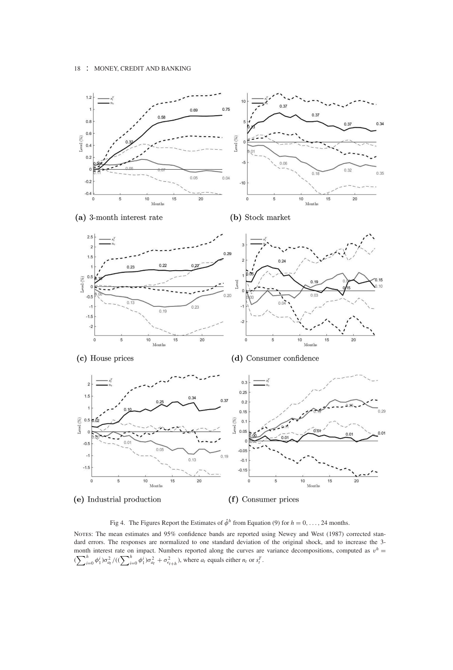

(e) Industrial production

(f) Consumer prices

Fig 4. The Figures Report the Estimates of  $\hat{\phi}^h$  from Equation (9) for  $h = 0, \ldots, 24$  months.

NOTES: The mean estimates and 95% confidence bands are reported using Newey and West (1987) corrected standard errors. The responses are normalized to one standard deviation of the original shock, and to increase the 3 month interest rate on impact. Numbers reported along the curves are variance decompositions, computed as  $v^h$  =  $(\sum_{i=0}^{h} \phi_1^i) \sigma_{a}^2 / ((\sum_{i=0}^{h} \phi_1^i) \sigma_{a}^2 + \sigma_{\epsilon_{t+h}}^2)$ , where  $a_t$  equals either  $n_t$  or  $s_t^T$ .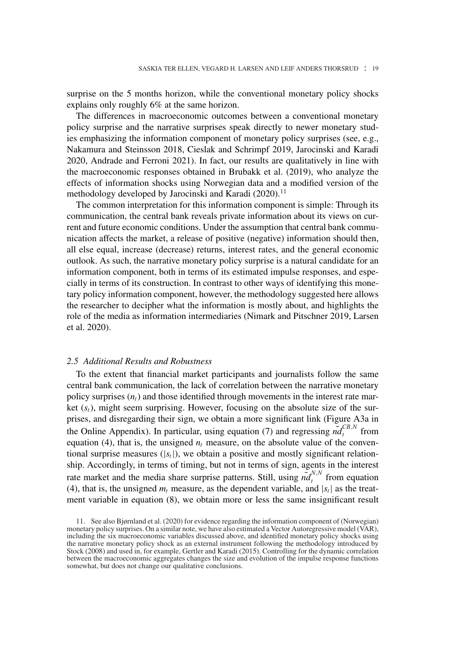surprise on the 5 months horizon, while the conventional monetary policy shocks explains only roughly 6% at the same horizon.

The differences in macroeconomic outcomes between a conventional monetary policy surprise and the narrative surprises speak directly to newer monetary studies emphasizing the information component of monetary policy surprises (see, e.g., Nakamura and Steinsson 2018, Cieslak and Schrimpf 2019, Jarocinski and Karadi 2020, Andrade and Ferroni 2021). In fact, our results are qualitatively in line with the macroeconomic responses obtained in Brubakk et al. (2019), who analyze the effects of information shocks using Norwegian data and a modified version of the methodology developed by Jarocinski and Karadi (2020).<sup>11</sup>

The common interpretation for this information component is simple: Through its communication, the central bank reveals private information about its views on current and future economic conditions. Under the assumption that central bank communication affects the market, a release of positive (negative) information should then, all else equal, increase (decrease) returns, interest rates, and the general economic outlook. As such, the narrative monetary policy surprise is a natural candidate for an information component, both in terms of its estimated impulse responses, and especially in terms of its construction. In contrast to other ways of identifying this monetary policy information component, however, the methodology suggested here allows the researcher to decipher what the information is mostly about, and highlights the role of the media as information intermediaries (Nimark and Pitschner 2019, Larsen et al. 2020).

## *2.5 Additional Results and Robustness*

To the extent that financial market participants and journalists follow the same central bank communication, the lack of correlation between the narrative monetary policy surprises  $(n<sub>t</sub>)$  and those identified through movements in the interest rate market (*st*), might seem surprising. However, focusing on the absolute size of the surprises, and disregarding their sign, we obtain a more significant link (Figure A3a in the Online Appendix). In particular, using equation (7) and regressing  $\tilde{nd}_t^{CB,N}$  from equation (4), that is, the unsigned  $n_t$  measure, on the absolute value of the conventional surprise measures  $(|s_t|)$ , we obtain a positive and mostly significant relationship. Accordingly, in terms of timing, but not in terms of sign, agents in the interest rate market and the media share surprise patterns. Still, using  $\tilde{nd}^{N,N}_t$  from equation (4), that is, the unsigned  $m_t$  measure, as the dependent variable, and  $|s_t|$  as the treatment variable in equation (8), we obtain more or less the same insignificant result

<sup>11.</sup> See also Bjørnland et al. (2020) for evidence regarding the information component of (Norwegian) monetary policy surprises. On a similar note, we have also estimated a Vector Autoregressive model (VAR), including the six macroeconomic variables discussed above, and identified monetary policy shocks using the narrative monetary policy shock as an external instrument following the methodology introduced by Stock (2008) and used in, for example, Gertler and Karadi (2015). Controlling for the dynamic correlation between the macroeconomic aggregates changes the size and evolution of the impulse response functions somewhat, but does not change our qualitative conclusions.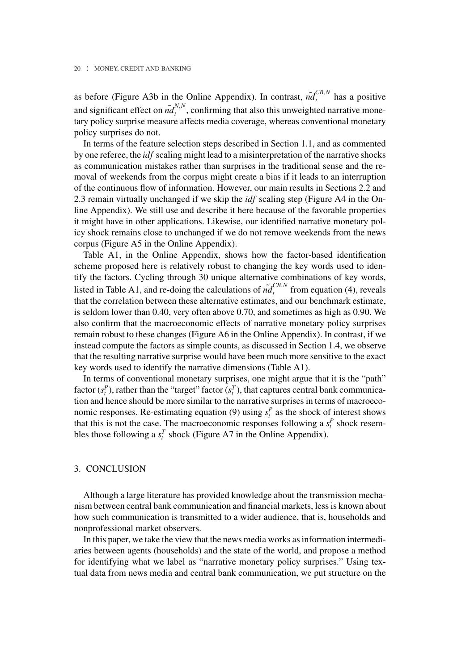as before (Figure A3b in the Online Appendix). In contrast,  $\tilde{n}d_t^{CB,N}$  has a positive and significant effect on  $\tilde{nd}_t^{N,N}$ , confirming that also this unweighted narrative monetary policy surprise measure affects media coverage, whereas conventional monetary policy surprises do not.

In terms of the feature selection steps described in Section 1.1, and as commented by one referee, the *idf* scaling might lead to a misinterpretation of the narrative shocks as communication mistakes rather than surprises in the traditional sense and the removal of weekends from the corpus might create a bias if it leads to an interruption of the continuous flow of information. However, our main results in Sections 2.2 and 2.3 remain virtually unchanged if we skip the *idf* scaling step (Figure A4 in the Online Appendix). We still use and describe it here because of the favorable properties it might have in other applications. Likewise, our identified narrative monetary policy shock remains close to unchanged if we do not remove weekends from the news corpus (Figure A5 in the Online Appendix).

Table A1, in the Online Appendix, shows how the factor-based identification scheme proposed here is relatively robust to changing the key words used to identify the factors. Cycling through 30 unique alternative combinations of key words, listed in Table A1, and re-doing the calculations of  $\tilde{nd}_t^{CB,N}$  from equation (4), reveals that the correlation between these alternative estimates, and our benchmark estimate, is seldom lower than 0.40, very often above 0.70, and sometimes as high as 0.90. We also confirm that the macroeconomic effects of narrative monetary policy surprises remain robust to these changes (Figure A6 in the Online Appendix). In contrast, if we instead compute the factors as simple counts, as discussed in Section 1.4, we observe that the resulting narrative surprise would have been much more sensitive to the exact key words used to identify the narrative dimensions (Table A1).

In terms of conventional monetary surprises, one might argue that it is the "path" factor  $(s_t^P)$ , rather than the "target" factor  $(s_t^T)$ , that captures central bank communication and hence should be more similar to the narrative surprises in terms of macroeconomic responses. Re-estimating equation (9) using  $s_t^P$  as the shock of interest shows that this is not the case. The macroeconomic responses following a  $s_t^P$  shock resembles those following a  $s_t^T$  shock (Figure A7 in the Online Appendix).

#### 3. CONCLUSION

Although a large literature has provided knowledge about the transmission mechanism between central bank communication and financial markets, less is known about how such communication is transmitted to a wider audience, that is, households and nonprofessional market observers.

In this paper, we take the view that the news media works as information intermediaries between agents (households) and the state of the world, and propose a method for identifying what we label as "narrative monetary policy surprises." Using textual data from news media and central bank communication, we put structure on the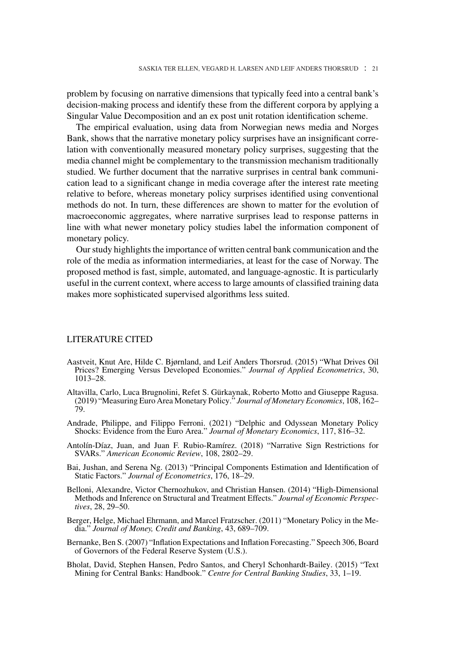problem by focusing on narrative dimensions that typically feed into a central bank's decision-making process and identify these from the different corpora by applying a Singular Value Decomposition and an ex post unit rotation identification scheme.

The empirical evaluation, using data from Norwegian news media and Norges Bank, shows that the narrative monetary policy surprises have an insignificant correlation with conventionally measured monetary policy surprises, suggesting that the media channel might be complementary to the transmission mechanism traditionally studied. We further document that the narrative surprises in central bank communication lead to a significant change in media coverage after the interest rate meeting relative to before, whereas monetary policy surprises identified using conventional methods do not. In turn, these differences are shown to matter for the evolution of macroeconomic aggregates, where narrative surprises lead to response patterns in line with what newer monetary policy studies label the information component of monetary policy.

Our study highlights the importance of written central bank communication and the role of the media as information intermediaries, at least for the case of Norway. The proposed method is fast, simple, automated, and language-agnostic. It is particularly useful in the current context, where access to large amounts of classified training data makes more sophisticated supervised algorithms less suited.

## LITERATURE CITED

- Aastveit, Knut Are, Hilde C. Bjørnland, and Leif Anders Thorsrud. (2015) "What Drives Oil Prices? Emerging Versus Developed Economies." *Journal of Applied Econometrics*, 30, 1013–28.
- Altavilla, Carlo, Luca Brugnolini, Refet S. Gürkaynak, Roberto Motto and Giuseppe Ragusa. (2019) "Measuring Euro Area Monetary Policy." *Journal of Monetary Economics*, 108, 162– 79.
- Andrade, Philippe, and Filippo Ferroni. (2021) "Delphic and Odyssean Monetary Policy Shocks: Evidence from the Euro Area." *Journal of Monetary Economics*, 117, 816–32.
- Antolín-Díaz, Juan, and Juan F. Rubio-Ramírez. (2018) "Narrative Sign Restrictions for SVARs." *American Economic Review*, 108, 2802–29.
- Bai, Jushan, and Serena Ng. (2013) "Principal Components Estimation and Identification of Static Factors." *Journal of Econometrics*, 176, 18–29.
- Belloni, Alexandre, Victor Chernozhukov, and Christian Hansen. (2014) "High-Dimensional Methods and Inference on Structural and Treatment Effects." *Journal of Economic Perspectives*, 28, 29–50.
- Berger, Helge, Michael Ehrmann, and Marcel Fratzscher. (2011) "Monetary Policy in the Media." *Journal of Money, Credit and Banking*, 43, 689–709.
- Bernanke, Ben S. (2007) "Inflation Expectations and Inflation Forecasting." Speech 306, Board of Governors of the Federal Reserve System (U.S.).
- Bholat, David, Stephen Hansen, Pedro Santos, and Cheryl Schonhardt-Bailey. (2015) "Text Mining for Central Banks: Handbook." *Centre for Central Banking Studies*, 33, 1–19.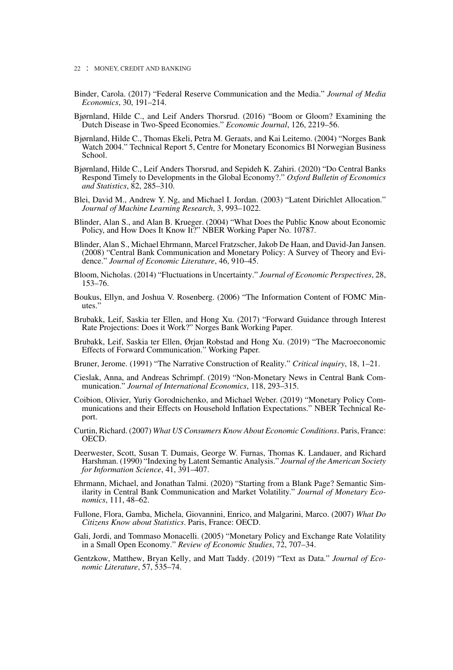- 22 : MONEY, CREDIT AND BANKING
- Binder, Carola. (2017) "Federal Reserve Communication and the Media." *Journal of Media Economics*, 30, 191–214.
- Bjørnland, Hilde C., and Leif Anders Thorsrud. (2016) "Boom or Gloom? Examining the Dutch Disease in Two-Speed Economies." *Economic Journal*, 126, 2219–56.
- Bjørnland, Hilde C., Thomas Ekeli, Petra M. Geraats, and Kai Leitemo. (2004) "Norges Bank Watch 2004." Technical Report 5, Centre for Monetary Economics BI Norwegian Business School.
- Bjørnland, Hilde C., Leif Anders Thorsrud, and Sepideh K. Zahiri. (2020) "Do Central Banks Respond Timely to Developments in the Global Economy?." *Oxford Bulletin of Economics and Statistics*, 82, 285–310.
- Blei, David M., Andrew Y. Ng, and Michael I. Jordan. (2003) "Latent Dirichlet Allocation." *Journal of Machine Learning Research*, 3, 993–1022.
- Blinder, Alan S., and Alan B. Krueger. (2004) "What Does the Public Know about Economic Policy, and How Does It Know It?" NBER Working Paper No. 10787.
- Blinder, Alan S., Michael Ehrmann, Marcel Fratzscher, Jakob De Haan, and David-Jan Jansen. (2008) "Central Bank Communication and Monetary Policy: A Survey of Theory and Evidence." *Journal of Economic Literature*, 46, 910–45.
- Bloom, Nicholas. (2014) "Fluctuations in Uncertainty." *Journal of Economic Perspectives*, 28, 153–76.
- Boukus, Ellyn, and Joshua V. Rosenberg. (2006) "The Information Content of FOMC Minutes."
- Brubakk, Leif, Saskia ter Ellen, and Hong Xu. (2017) "Forward Guidance through Interest Rate Projections: Does it Work?" Norges Bank Working Paper.
- Brubakk, Leif, Saskia ter Ellen, Ørjan Robstad and Hong Xu. (2019) "The Macroeconomic Effects of Forward Communication." Working Paper.
- Bruner, Jerome. (1991) "The Narrative Construction of Reality." *Critical inquiry*, 18, 1–21.
- Cieslak, Anna, and Andreas Schrimpf. (2019) "Non-Monetary News in Central Bank Communication." *Journal of International Economics*, 118, 293–315.
- Coibion, Olivier, Yuriy Gorodnichenko, and Michael Weber. (2019) "Monetary Policy Communications and their Effects on Household Inflation Expectations." NBER Technical Report.
- Curtin, Richard. (2007) *What US Consumers Know About Economic Conditions*. Paris, France: OECD.
- Deerwester, Scott, Susan T. Dumais, George W. Furnas, Thomas K. Landauer, and Richard Harshman. (1990) "Indexing by Latent Semantic Analysis." *Journal of the American Society for Information Science*, 41, 391–407.
- Ehrmann, Michael, and Jonathan Talmi. (2020) "Starting from a Blank Page? Semantic Similarity in Central Bank Communication and Market Volatility." *Journal of Monetary Economics*, 111, 48–62.
- Fullone, Flora, Gamba, Michela, Giovannini, Enrico, and Malgarini, Marco. (2007) *What Do Citizens Know about Statistics*. Paris, France: OECD.
- Gali, Jordi, and Tommaso Monacelli. (2005) "Monetary Policy and Exchange Rate Volatility in a Small Open Economy." *Review of Economic Studies*, 72, 707–34.
- Gentzkow, Matthew, Bryan Kelly, and Matt Taddy. (2019) "Text as Data." *Journal of Economic Literature*, 57, 535–74.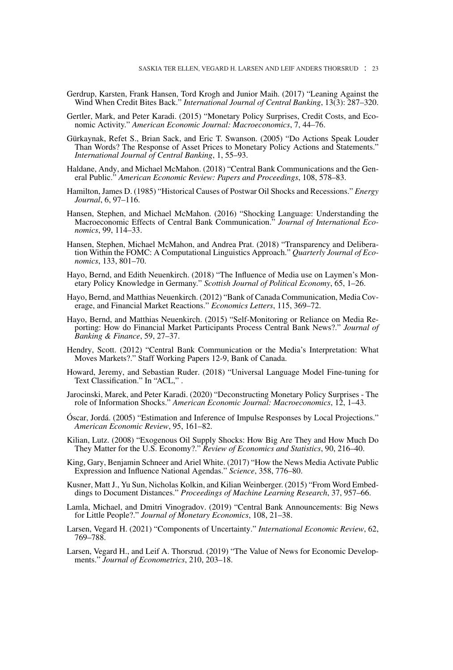- Gerdrup, Karsten, Frank Hansen, Tord Krogh and Junior Maih. (2017) "Leaning Against the Wind When Credit Bites Back." *International Journal of Central Banking*, 13(3): 287–320.
- Gertler, Mark, and Peter Karadi. (2015) "Monetary Policy Surprises, Credit Costs, and Economic Activity." *American Economic Journal: Macroeconomics*, 7, 44–76.
- Gürkaynak, Refet S., Brian Sack, and Eric T. Swanson. (2005) "Do Actions Speak Louder Than Words? The Response of Asset Prices to Monetary Policy Actions and Statements." *International Journal of Central Banking*, 1, 55–93.
- Haldane, Andy, and Michael McMahon. (2018) "Central Bank Communications and the General Public." *American Economic Review: Papers and Proceedings*, 108, 578–83.
- Hamilton, James D. (1985) "Historical Causes of Postwar Oil Shocks and Recessions." *Energy Journal*, 6, 97–116.
- Hansen, Stephen, and Michael McMahon. (2016) "Shocking Language: Understanding the Macroeconomic Effects of Central Bank Communication." *Journal of International Economics*, 99, 114–33.
- Hansen, Stephen, Michael McMahon, and Andrea Prat. (2018) "Transparency and Deliberation Within the FOMC: A Computational Linguistics Approach." *Quarterly Journal of Economics*, 133, 801–70.
- Hayo, Bernd, and Edith Neuenkirch. (2018) "The Influence of Media use on Laymen's Monetary Policy Knowledge in Germany." *Scottish Journal of Political Economy*, 65, 1–26.
- Hayo, Bernd, and Matthias Neuenkirch. (2012) "Bank of Canada Communication, Media Coverage, and Financial Market Reactions." *Economics Letters*, 115, 369–72.
- Hayo, Bernd, and Matthias Neuenkirch. (2015) "Self-Monitoring or Reliance on Media Reporting: How do Financial Market Participants Process Central Bank News?." *Journal of Banking & Finance*, 59, 27–37.
- Hendry, Scott. (2012) "Central Bank Communication or the Media's Interpretation: What Moves Markets?." Staff Working Papers 12-9, Bank of Canada.
- Howard, Jeremy, and Sebastian Ruder. (2018) "Universal Language Model Fine-tuning for Text Classification." In "ACL," .
- Jarocinski, Marek, and Peter Karadi. (2020) "Deconstructing Monetary Policy Surprises The role of Information Shocks." *American Economic Journal: Macroeconomics*, 12, 1–43.
- Óscar, Jordá. (2005) "Estimation and Inference of Impulse Responses by Local Projections." *American Economic Review*, 95, 161–82.
- Kilian, Lutz. (2008) "Exogenous Oil Supply Shocks: How Big Are They and How Much Do They Matter for the U.S. Economy?." *Review of Economics and Statistics*, 90, 216–40.
- King, Gary, Benjamin Schneer and Ariel White. (2017) "How the News Media Activate Public Expression and Influence National Agendas." *Science*, 358, 776–80.
- Kusner, Matt J., Yu Sun, Nicholas Kolkin, and Kilian Weinberger. (2015) "From Word Embeddings to Document Distances." *Proceedings of Machine Learning Research*, 37, 957–66.
- Lamla, Michael, and Dmitri Vinogradov. (2019) "Central Bank Announcements: Big News for Little People?." *Journal of Monetary Economics*, 108, 21–38.
- Larsen, Vegard H. (2021) "Components of Uncertainty." *International Economic Review*, 62, 769–788.
- Larsen, Vegard H., and Leif A. Thorsrud. (2019) "The Value of News for Economic Developments." *Journal of Econometrics*, 210, 203–18.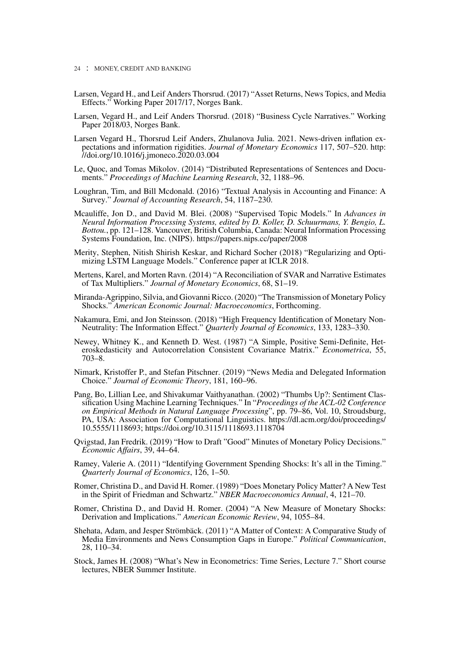- Larsen, Vegard H., and Leif Anders Thorsrud. (2017) "Asset Returns, News Topics, and Media Effects." Working Paper 2017/17, Norges Bank.
- Larsen, Vegard H., and Leif Anders Thorsrud. (2018) "Business Cycle Narratives." Working Paper 2018/03, Norges Bank.
- Larsen Vegard H., Thorsrud Leif Anders, Zhulanova Julia. 2021. News-driven inflation expectations and information rigidities. *Journal of Monetary Economics* 117, 507–520. [http:](http://doi.org/10.1016/j.jmoneco.2020.03.004) [//doi.org/10.1016/j.jmoneco.2020.03.004](http://doi.org/10.1016/j.jmoneco.2020.03.004)
- Le, Quoc, and Tomas Mikolov. (2014) "Distributed Representations of Sentences and Documents." *Proceedings of Machine Learning Research*, 32, 1188–96.
- Loughran, Tim, and Bill Mcdonald. (2016) "Textual Analysis in Accounting and Finance: A Survey." *Journal of Accounting Research*, 54, 1187–230.
- Mcauliffe, Jon D., and David M. Blei. (2008) "Supervised Topic Models." In *Advances in Neural Information Processing Systems, edited by D. Koller, D. Schuurmans, Y. Bengio, L. Bottou.*, pp. 121–128. Vancouver, British Columbia, Canada: Neural Information Processing Systems Foundation, Inc. (NIPS).<https://papers.nips.cc/paper/2008>
- Merity, Stephen, Nitish Shirish Keskar, and Richard Socher (2018) "Regularizing and Optimizing LSTM Language Models." Conference paper at ICLR 2018.
- Mertens, Karel, and Morten Ravn. (2014) "A Reconciliation of SVAR and Narrative Estimates of Tax Multipliers." *Journal of Monetary Economics*, 68, S1–19.
- Miranda-Agrippino, Silvia, and Giovanni Ricco. (2020) "The Transmission of Monetary Policy Shocks." *American Economic Journal: Macroeconomics*, Forthcoming.
- Nakamura, Emi, and Jon Steinsson. (2018) "High Frequency Identification of Monetary Non-Neutrality: The Information Effect." *Quarterly Journal of Economics*, 133, 1283–330.
- Newey, Whitney K., and Kenneth D. West. (1987) "A Simple, Positive Semi-Definite, Heteroskedasticity and Autocorrelation Consistent Covariance Matrix." *Econometrica*, 55, 703–8.
- Nimark, Kristoffer P., and Stefan Pitschner. (2019) "News Media and Delegated Information Choice." *Journal of Economic Theory*, 181, 160–96.
- Pang, Bo, Lillian Lee, and Shivakumar Vaithyanathan. (2002) "Thumbs Up?: Sentiment Classification Using Machine Learning Techniques." In "*Proceedings of the ACL-02 Conference on Empirical Methods in Natural Language Processing*", pp. 79–86, Vol. 10, Stroudsburg, PA, USA: Association for Computational Linguistics. [https://dl.acm.org/doi/proceedings/](https://dl.acm.org/doi/proceedings/10.5555/1118693) [10.5555/1118693;](https://dl.acm.org/doi/proceedings/10.5555/1118693)<https://doi.org/10.3115/1118693.1118704>
- Qvigstad, Jan Fredrik. (2019) "How to Draft "Good" Minutes of Monetary Policy Decisions." *Economic Affairs*, 39, 44–64.
- Ramey, Valerie A. (2011) "Identifying Government Spending Shocks: It's all in the Timing." *Quarterly Journal of Economics*, 126, 1–50.
- Romer, Christina D., and David H. Romer. (1989) "Does Monetary Policy Matter? A New Test in the Spirit of Friedman and Schwartz." *NBER Macroeconomics Annual*, 4, 121–70.
- Romer, Christina D., and David H. Romer. (2004) "A New Measure of Monetary Shocks: Derivation and Implications." *American Economic Review*, 94, 1055–84.
- Shehata, Adam, and Jesper Strömbäck. (2011) "A Matter of Context: A Comparative Study of Media Environments and News Consumption Gaps in Europe." *Political Communication*, 28, 110–34.
- Stock, James H. (2008) "What's New in Econometrics: Time Series, Lecture 7." Short course lectures, NBER Summer Institute.